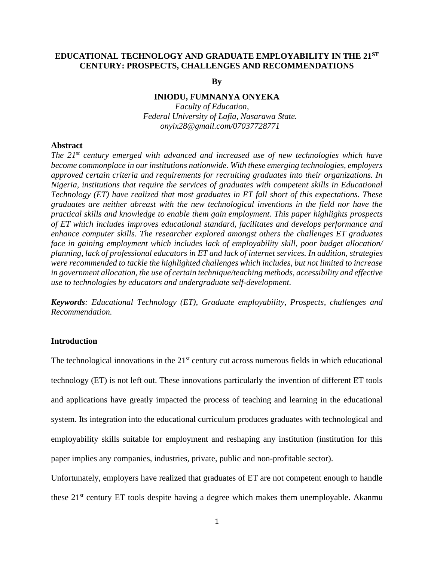## **EDUCATIONAL TECHNOLOGY AND GRADUATE EMPLOYABILITY IN THE 21ST CENTURY: PROSPECTS, CHALLENGES AND RECOMMENDATIONS**

**By**

## **INIODU, FUMNANYA ONYEKA**

*Faculty of Education, Federal University of Lafia, Nasarawa State. onyix28@gmail.com/07037728771*

## **Abstract**

*The 21st century emerged with advanced and increased use of new technologies which have become commonplace in our institutions nationwide. With these emerging technologies, employers approved certain criteria and requirements for recruiting graduates into their organizations. In Nigeria, institutions that require the services of graduates with competent skills in Educational Technology (ET) have realized that most graduates in ET fall short of this expectations. These graduates are neither abreast with the new technological inventions in the field nor have the practical skills and knowledge to enable them gain employment. This paper highlights prospects of ET which includes improves educational standard, facilitates and develops performance and enhance computer skills. The researcher explored amongst others the challenges ET graduates face in gaining employment which includes lack of employability skill, poor budget allocation/ planning, lack of professional educators in ET and lack of internet services. In addition, strategies were recommended to tackle the highlighted challenges which includes, but not limited to increase in government allocation, the use of certain technique/teaching methods, accessibility and effective use to technologies by educators and undergraduate self-development.*

*Keywords: Educational Technology (ET), Graduate employability, Prospects, challenges and Recommendation.*

## **Introduction**

The technological innovations in the  $21<sup>st</sup>$  century cut across numerous fields in which educational technology (ET) is not left out. These innovations particularly the invention of different ET tools and applications have greatly impacted the process of teaching and learning in the educational system. Its integration into the educational curriculum produces graduates with technological and employability skills suitable for employment and reshaping any institution (institution for this paper implies any companies, industries, private, public and non-profitable sector).

Unfortunately, employers have realized that graduates of ET are not competent enough to handle these 21<sup>st</sup> century ET tools despite having a degree which makes them unemployable. Akanmu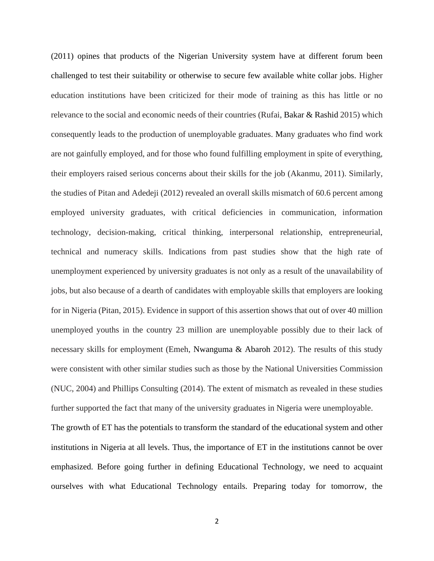(2011) opines that products of the Nigerian University system have at different forum been challenged to test their suitability or otherwise to secure few available white collar jobs. Higher education institutions have been criticized for their mode of training as this has little or no relevance to the social and economic needs of their countries (Rufai, Bakar & Rashid 2015) which consequently leads to the production of unemployable graduates. Many graduates who find work are not gainfully employed, and for those who found fulfilling employment in spite of everything, their employers raised serious concerns about their skills for the job (Akanmu, 2011). Similarly, the studies of Pitan and Adedeji (2012) revealed an overall skills mismatch of 60.6 percent among employed university graduates, with critical deficiencies in communication, information technology, decision-making, critical thinking, interpersonal relationship, entrepreneurial, technical and numeracy skills. Indications from past studies show that the high rate of unemployment experienced by university graduates is not only as a result of the unavailability of jobs, but also because of a dearth of candidates with employable skills that employers are looking for in Nigeria (Pitan, 2015). Evidence in support of this assertion shows that out of over 40 million unemployed youths in the country 23 million are unemployable possibly due to their lack of necessary skills for employment (Emeh, Nwanguma & Abaroh 2012). The results of this study were consistent with other similar studies such as those by the National Universities Commission (NUC, 2004) and Phillips Consulting (2014). The extent of mismatch as revealed in these studies further supported the fact that many of the university graduates in Nigeria were unemployable. The growth of ET has the potentials to transform the standard of the educational system and other institutions in Nigeria at all levels. Thus, the importance of ET in the institutions cannot be over emphasized. Before going further in defining Educational Technology, we need to acquaint

ourselves with what Educational Technology entails. Preparing today for tomorrow, the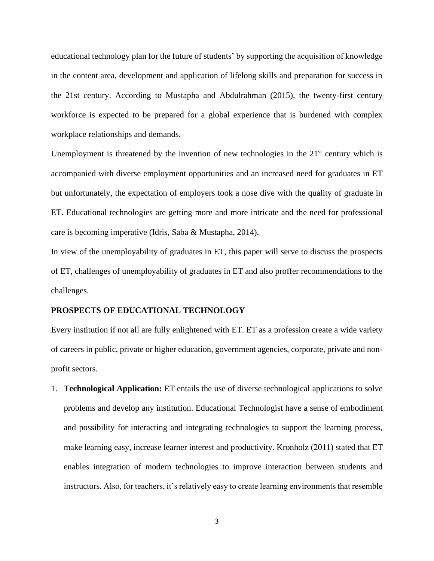educational technology plan for the future of students' by supporting the acquisition of knowledge in the content area, development and application of lifelong skills and preparation for success in the 21st century. According to Mustapha and Abdulrahman (2015), the twenty-first century workforce is expected to be prepared for a global experience that is burdened with complex workplace relationships and demands.

Unemployment is threatened by the invention of new technologies in the  $21<sup>st</sup>$  century which is accompanied with diverse employment opportunities and an increased need for graduates in ET but unfortunately, the expectation of employers took a nose dive with the quality of graduate in ET. Educational technologies are getting more and more intricate and the need for professional care is becoming imperative (Idris, Saba & Mustapha, 2014).

In view of the unemployability of graduates in ET, this paper will serve to discuss the prospects of ET, challenges of unemployability of graduates in ET and also proffer recommendations to the challenges.

#### **PROSPECTS OF EDUCATIONAL TECHNOLOGY**

Every institution if not all are fully enlightened with ET. ET as a profession create a wide variety of careers in public, private or higher education, government agencies, corporate, private and nonprofit sectors.

1. **Technological Application:** ET entails the use of diverse technological applications to solve problems and develop any institution. Educational Technologist have a sense of embodiment and possibility for interacting and integrating technologies to support the learning process, make learning easy, increase learner interest and productivity. Kronholz (2011) stated that ET enables integration of modern technologies to improve interaction between students and instructors. Also, for teachers, it's relatively easy to create learning environments that resemble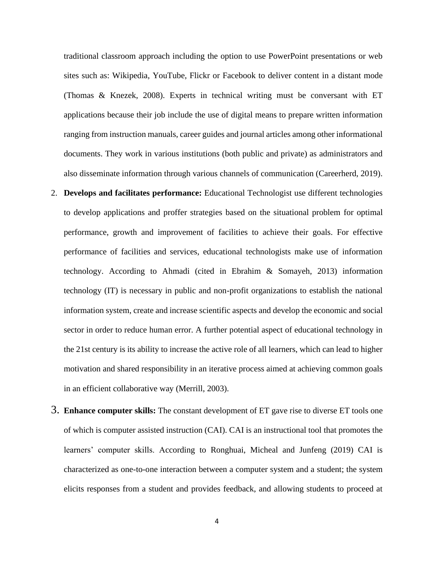traditional classroom approach including the option to use PowerPoint presentations or web sites such as: Wikipedia, YouTube, Flickr or Facebook to deliver content in a distant mode (Thomas & Knezek, 2008). Experts in technical writing must be conversant with ET applications because their job include the use of digital means to prepare written information ranging from instruction manuals, career guides and journal articles among other informational documents. They work in various institutions (both public and private) as administrators and also disseminate information through various channels of communication (Careerherd, 2019).

- 2. **Develops and facilitates performance:** Educational Technologist use different technologies to develop applications and proffer strategies based on the situational problem for optimal performance, growth and improvement of facilities to achieve their goals. For effective performance of facilities and services, educational technologists make use of information technology. According to Ahmadi (cited in Ebrahim & Somayeh, 2013) information technology (IT) is necessary in public and non-profit organizations to establish the national information system, create and increase scientific aspects and develop the economic and social sector in order to reduce human error. A further potential aspect of educational technology in the 21st century is its ability to increase the active role of all learners, which can lead to higher motivation and shared responsibility in an iterative process aimed at achieving common goals in an efficient collaborative way (Merrill, 2003).
- 3. **Enhance computer skills:** The constant development of ET gave rise to diverse ET tools one of which is computer assisted instruction (CAI). CAI is an instructional tool that promotes the learners' computer skills. According to Ronghuai, Micheal and Junfeng (2019) CAI is characterized as one-to-one interaction between a computer system and a student; the system elicits responses from a student and provides feedback, and allowing students to proceed at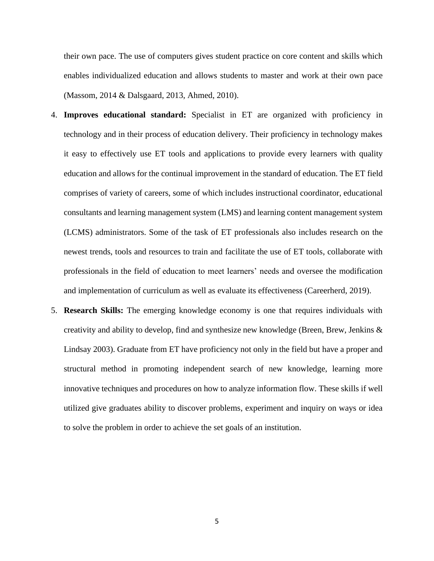their own pace. The use of computers gives student practice on core content and skills which enables individualized education and allows students to master and work at their own pace (Massom, 2014 & Dalsgaard, 2013, Ahmed, 2010).

- 4. **Improves educational standard:** Specialist in ET are organized with proficiency in technology and in their process of education delivery. Their proficiency in technology makes it easy to effectively use ET tools and applications to provide every learners with quality education and allows for the continual improvement in the standard of education. The ET field comprises of variety of careers, some of which includes instructional coordinator, educational consultants and learning management system (LMS) and learning content management system (LCMS) administrators. Some of the task of ET professionals also includes research on the newest trends, tools and resources to train and facilitate the use of ET tools, collaborate with professionals in the field of education to meet learners' needs and oversee the modification and implementation of curriculum as well as evaluate its effectiveness (Careerherd, 2019).
- 5. **Research Skills:** The emerging knowledge economy is one that requires individuals with creativity and ability to develop, find and synthesize new knowledge (Breen, Brew, Jenkins  $\&$ Lindsay 2003). Graduate from ET have proficiency not only in the field but have a proper and structural method in promoting independent search of new knowledge, learning more innovative techniques and procedures on how to analyze information flow. These skills if well utilized give graduates ability to discover problems, experiment and inquiry on ways or idea to solve the problem in order to achieve the set goals of an institution.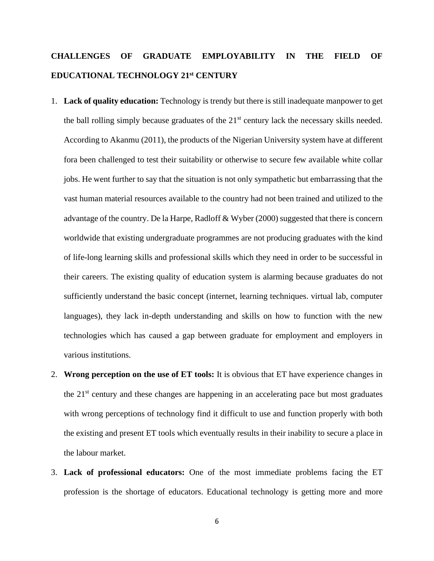# **CHALLENGES OF GRADUATE EMPLOYABILITY IN THE FIELD OF EDUCATIONAL TECHNOLOGY 21st CENTURY**

- 1. **Lack of quality education:** Technology is trendy but there is still inadequate manpower to get the ball rolling simply because graduates of the  $21<sup>st</sup>$  century lack the necessary skills needed. According to Akanmu (2011), the products of the Nigerian University system have at different fora been challenged to test their suitability or otherwise to secure few available white collar jobs. He went further to say that the situation is not only sympathetic but embarrassing that the vast human material resources available to the country had not been trained and utilized to the advantage of the country. De la Harpe, Radloff & Wyber (2000) suggested that there is concern worldwide that existing undergraduate programmes are not producing graduates with the kind of life-long learning skills and professional skills which they need in order to be successful in their careers. The existing quality of education system is alarming because graduates do not sufficiently understand the basic concept (internet, learning techniques. virtual lab, computer languages), they lack in-depth understanding and skills on how to function with the new technologies which has caused a gap between graduate for employment and employers in various institutions.
- 2. **Wrong perception on the use of ET tools:** It is obvious that ET have experience changes in the  $21<sup>st</sup>$  century and these changes are happening in an accelerating pace but most graduates with wrong perceptions of technology find it difficult to use and function properly with both the existing and present ET tools which eventually results in their inability to secure a place in the labour market.
- 3. **Lack of professional educators:** One of the most immediate problems facing the ET profession is the shortage of educators. Educational technology is getting more and more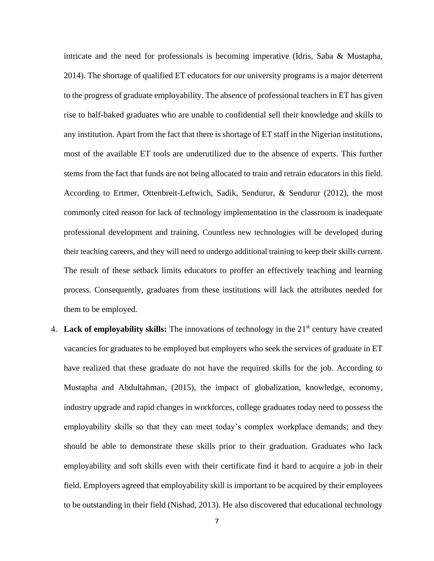intricate and the need for professionals is becoming imperative (Idris, Saba & Mustapha, 2014). The shortage of qualified ET educators for our university programs is a major deterrent to the progress of graduate employability. The absence of professional teachers in ET has given rise to half-baked graduates who are unable to confidential sell their knowledge and skills to any institution. Apart from the fact that there is shortage of ET staff in the Nigerian institutions, most of the available ET tools are underutilized due to the absence of experts. This further stems from the fact that funds are not being allocated to train and retrain educators in this field. According to Ertmer, Ottenbreit-Leftwich, Sadik, Sendurur, & Sendurur (2012), the most commonly cited reason for lack of technology implementation in the classroom is inadequate professional development and training. Countless new technologies will be developed during their teaching careers, and they will need to undergo additional training to keep their skills current. The result of these setback limits educators to proffer an effectively teaching and learning process. Consequently, graduates from these institutions will lack the attributes needed for them to be employed.

4. **Lack of employability skills:** The innovations of technology in the 21<sup>st</sup> century have created vacancies for graduates to be employed but employers who seek the services of graduate in ET have realized that these graduate do not have the required skills for the job. According to Mustapha and Abdultahman, (2015), the impact of globalization, knowledge, economy, industry upgrade and rapid changes in workforces, college graduates today need to possess the employability skills so that they can meet today's complex workplace demands; and they should be able to demonstrate these skills prior to their graduation. Graduates who lack employability and soft skills even with their certificate find it hard to acquire a job in their field. Employers agreed that employability skill is important to be acquired by their employees to be outstanding in their field (Nishad, 2013). He also discovered that educational technology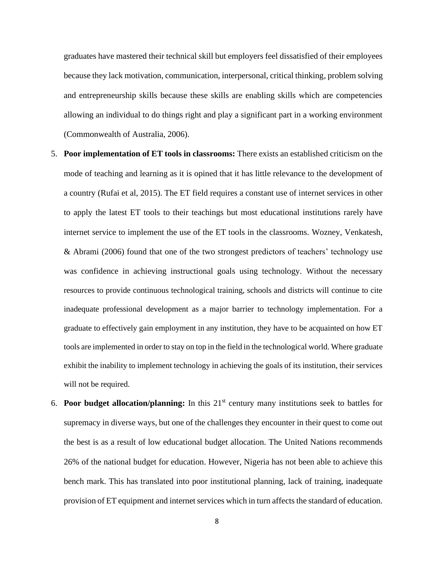graduates have mastered their technical skill but employers feel dissatisfied of their employees because they lack motivation, communication, interpersonal, critical thinking, problem solving and entrepreneurship skills because these skills are enabling skills which are competencies allowing an individual to do things right and play a significant part in a working environment (Commonwealth of Australia, 2006).

- 5. **Poor implementation of ET tools in classrooms:** There exists an established criticism on the mode of teaching and learning as it is opined that it has little relevance to the development of a country (Rufai et al, 2015). The ET field requires a constant use of internet services in other to apply the latest ET tools to their teachings but most educational institutions rarely have internet service to implement the use of the ET tools in the classrooms. Wozney, Venkatesh, & Abrami (2006) found that one of the two strongest predictors of teachers' technology use was confidence in achieving instructional goals using technology. Without the necessary resources to provide continuous technological training, schools and districts will continue to cite inadequate professional development as a major barrier to technology implementation. For a graduate to effectively gain employment in any institution, they have to be acquainted on how ET tools are implemented in order to stay on top in the field in the technological world. Where graduate exhibit the inability to implement technology in achieving the goals of its institution, their services will not be required.
- 6. **Poor budget allocation/planning:** In this 21st century many institutions seek to battles for supremacy in diverse ways, but one of the challenges they encounter in their quest to come out the best is as a result of low educational budget allocation. The United Nations recommends 26% of the national budget for education. However, Nigeria has not been able to achieve this bench mark. This has translated into poor institutional planning, lack of training, inadequate provision of ET equipment and internet services which in turn affects the standard of education.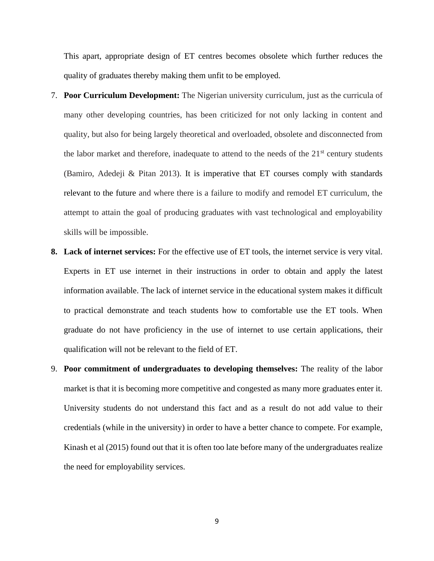This apart, appropriate design of ET centres becomes obsolete which further reduces the quality of graduates thereby making them unfit to be employed.

- 7. **Poor Curriculum Development:** The Nigerian university curriculum, just as the curricula of many other developing countries, has been criticized for not only lacking in content and quality, but also for being largely theoretical and overloaded, obsolete and disconnected from the labor market and therefore, inadequate to attend to the needs of the  $21<sup>st</sup>$  century students (Bamiro, Adedeji & Pitan 2013). It is imperative that ET courses comply with standards relevant to the future and where there is a failure to modify and remodel ET curriculum, the attempt to attain the goal of producing graduates with vast technological and employability skills will be impossible.
- **8. Lack of internet services:** For the effective use of ET tools, the internet service is very vital. Experts in ET use internet in their instructions in order to obtain and apply the latest information available. The lack of internet service in the educational system makes it difficult to practical demonstrate and teach students how to comfortable use the ET tools. When graduate do not have proficiency in the use of internet to use certain applications, their qualification will not be relevant to the field of ET.
- 9. **Poor commitment of undergraduates to developing themselves:** The reality of the labor market is that it is becoming more competitive and congested as many more graduates enter it. University students do not understand this fact and as a result do not add value to their credentials (while in the university) in order to have a better chance to compete. For example, Kinash et al (2015) found out that it is often too late before many of the undergraduates realize the need for employability services.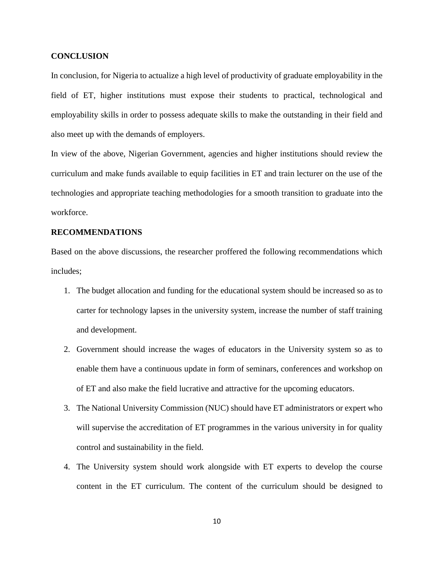## **CONCLUSION**

In conclusion, for Nigeria to actualize a high level of productivity of graduate employability in the field of ET, higher institutions must expose their students to practical, technological and employability skills in order to possess adequate skills to make the outstanding in their field and also meet up with the demands of employers.

In view of the above, Nigerian Government, agencies and higher institutions should review the curriculum and make funds available to equip facilities in ET and train lecturer on the use of the technologies and appropriate teaching methodologies for a smooth transition to graduate into the workforce.

## **RECOMMENDATIONS**

Based on the above discussions, the researcher proffered the following recommendations which includes;

- 1. The budget allocation and funding for the educational system should be increased so as to carter for technology lapses in the university system, increase the number of staff training and development.
- 2. Government should increase the wages of educators in the University system so as to enable them have a continuous update in form of seminars, conferences and workshop on of ET and also make the field lucrative and attractive for the upcoming educators.
- 3. The National University Commission (NUC) should have ET administrators or expert who will supervise the accreditation of ET programmes in the various university in for quality control and sustainability in the field.
- 4. The University system should work alongside with ET experts to develop the course content in the ET curriculum. The content of the curriculum should be designed to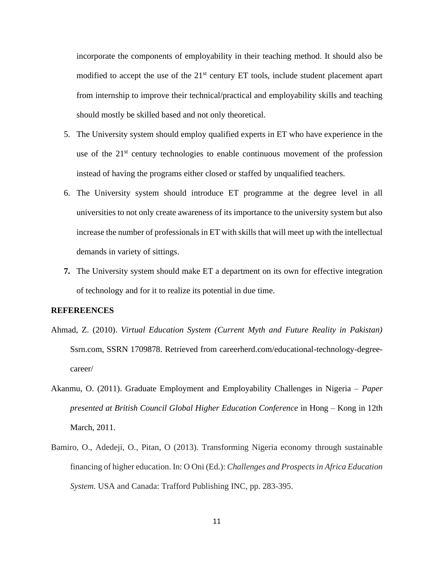incorporate the components of employability in their teaching method. It should also be modified to accept the use of the  $21<sup>st</sup>$  century ET tools, include student placement apart from internship to improve their technical/practical and employability skills and teaching should mostly be skilled based and not only theoretical.

- 5. The University system should employ qualified experts in ET who have experience in the use of the 21<sup>st</sup> century technologies to enable continuous movement of the profession instead of having the programs either closed or staffed by unqualified teachers.
- 6. The University system should introduce ET programme at the degree level in all universities to not only create awareness of its importance to the university system but also increase the number of professionals in ET with skills that will meet up with the intellectual demands in variety of sittings.
- **7.** The University system should make ET a department on its own for effective integration of technology and for it to realize its potential in due time.

#### **REFEREENCES**

- Ahmad, Z. (2010). *Virtual Education System (Current Myth and Future Reality in Pakistan)* Ssrn.com, SSRN 1709878. Retrieved from careerherd.com/educational-technology-degreecareer/
- Akanmu, O. (2011). Graduate Employment and Employability Challenges in Nigeria *Paper presented at British Council Global Higher Education Conference* in Hong – Kong in 12th March, 2011.
- Bamiro, O., Adedeji, O., Pitan, O (2013). Transforming Nigeria economy through sustainable financing of higher education. In: O Oni (Ed.): *Challenges and Prospects in Africa Education System.* USA and Canada: Trafford Publishing INC, pp. 283-395.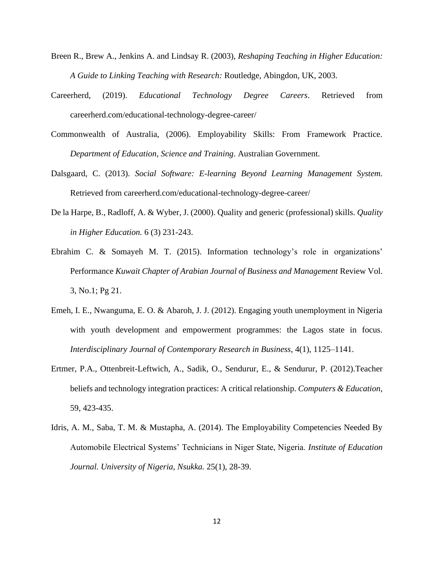- Breen R., Brew A., Jenkins A. and Lindsay R. (2003), *Reshaping Teaching in Higher Education: A Guide to Linking Teaching with Research:* Routledge, Abingdon, UK, 2003.
- Careerherd, (2019). *Educational Technology Degree Careers*. Retrieved from careerherd.com/educational-technology-degree-career/
- Commonwealth of Australia, (2006). Employability Skills: From Framework Practice. *Department of Education, Science and Training*. Australian Government.
- Dalsgaard, C. (2013). *Social Software: E-learning Beyond Learning Management System.* Retrieved from careerherd.com/educational-technology-degree-career/
- De la Harpe, B., Radloff, A. & Wyber, J. (2000). Quality and generic (professional) skills. *Quality in Higher Education.* 6 (3) 231-243.
- Ebrahim C. & Somayeh M. T. (2015). Information technology's role in organizations' Performance *Kuwait Chapter of Arabian Journal of Business and Management* Review Vol. 3, No.1; Pg 21.
- Emeh, I. E., Nwanguma, E. O. & Abaroh, J. J. (2012). Engaging youth unemployment in Nigeria with youth development and empowerment programmes: the Lagos state in focus. *Interdisciplinary Journal of Contemporary Research in Business*, 4(1), 1125–1141.
- Ertmer, P.A., Ottenbreit-Leftwich, A., Sadik, O., Sendurur, E., & Sendurur, P. (2012).Teacher beliefs and technology integration practices: A critical relationship. *Computers & Education*, 59, 423-435.
- Idris, A. M., Saba, T. M. & Mustapha, A. (2014). The Employability Competencies Needed By Automobile Electrical Systems' Technicians in Niger State, Nigeria. *Institute of Education Journal. University of Nigeria, Nsukka.* 25(1), 28-39.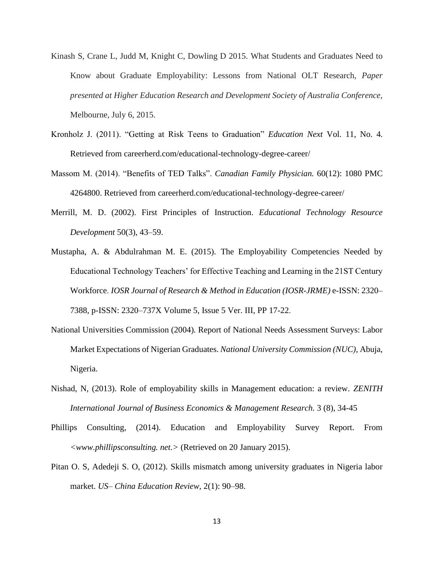- Kinash S, Crane L, Judd M, Knight C, Dowling D 2015. What Students and Graduates Need to Know about Graduate Employability: Lessons from National OLT Research, *Paper presented at Higher Education Research and Development Society of Australia Conference,*  Melbourne, July 6, 2015.
- Kronholz J. (2011). "Getting at Risk Teens to Graduation" *Education Next* Vol. 11, No. 4. Retrieved from careerherd.com/educational-technology-degree-career/
- Massom M. (2014). "Benefits of TED Talks". *Canadian Family Physician.* 60(12): 1080 PMC 4264800. Retrieved from careerherd.com/educational-technology-degree-career/
- Merrill, M. D. (2002). First Principles of Instruction. *Educational Technology Resource Development* 50(3), 43–59.
- Mustapha, A. & Abdulrahman M. E. (2015). The Employability Competencies Needed by Educational Technology Teachers' for Effective Teaching and Learning in the 21ST Century Workforce. *IOSR Journal of Research & Method in Education (IOSR-JRME)* e-ISSN: 2320– 7388, p-ISSN: 2320–737X Volume 5, Issue 5 Ver. III, PP 17-22.
- National Universities Commission (2004)*.* Report of National Needs Assessment Surveys: Labor Market Expectations of Nigerian Graduates. *National University Commission (NUC),* Abuja, Nigeria.
- Nishad, N, (2013). Role of employability skills in Management education: a review. *ZENITH International Journal of Business Economics & Management Research.* 3 (8), 34-45
- Phillips Consulting, (2014). Education and Employability Survey Report. From *<www.phillipsconsulting. net.>* (Retrieved on 20 January 2015).
- Pitan O. S, Adedeji S. O, (2012). Skills mismatch among university graduates in Nigeria labor market. *US– China Education Review,* 2(1): 90–98.